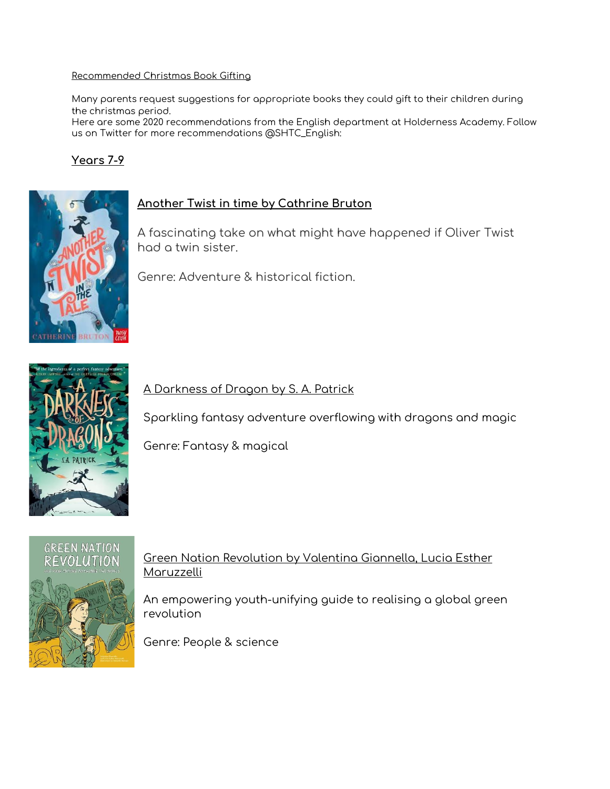#### Recommended Christmas Book Gifting

Many parents request suggestions for appropriate books they could gift to their children during the christmas period.

Here are some 2020 recommendations from the English department at Holderness Academy. Follow us on Twitter for more recommendations @SHTC\_English:

#### **Years 7-9**



#### **Another Twist in time by Cathrine Bruton**

A fascinating take on what might have happened if Oliver Twist had a twin sister.

Genre: Adventure & historical fiction.



A Darkness of Dragon by S. A. Patrick

Sparkling fantasy adventure overflowing with dragons and magic

Genre: Fantasy & magical



#### Green Nation Revolution by Valentina Giannella, Lucia Esther Maruzzelli

An empowering youth-unifying guide to realising a global green revolution

Genre: People & science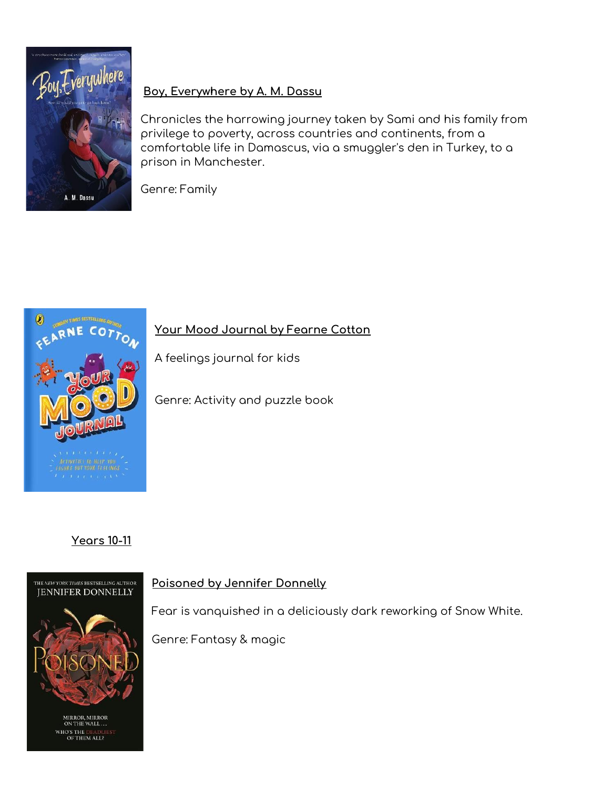

### **Boy, Everywhere by A. M. Dassu**

Chronicles the harrowing journey taken by Sami and his family from privilege to poverty, across countries and continents, from a comfortable life in Damascus, via a smuggler's den in Turkey, to a prison in Manchester.

Genre: Family



**Your Mood Journal by Fearne Cotton**

A feelings journal for kids

Genre: Activity and puzzle book

# **Years 10-11**



MIRROR, MIRROR<br>ON THE WALL... WHO'S THE DEADLE<br>OF THEM ALL?

#### **Poisoned by Jennifer Donnelly**

Fear is vanquished in a deliciously dark reworking of Snow White.

Genre: Fantasy & magic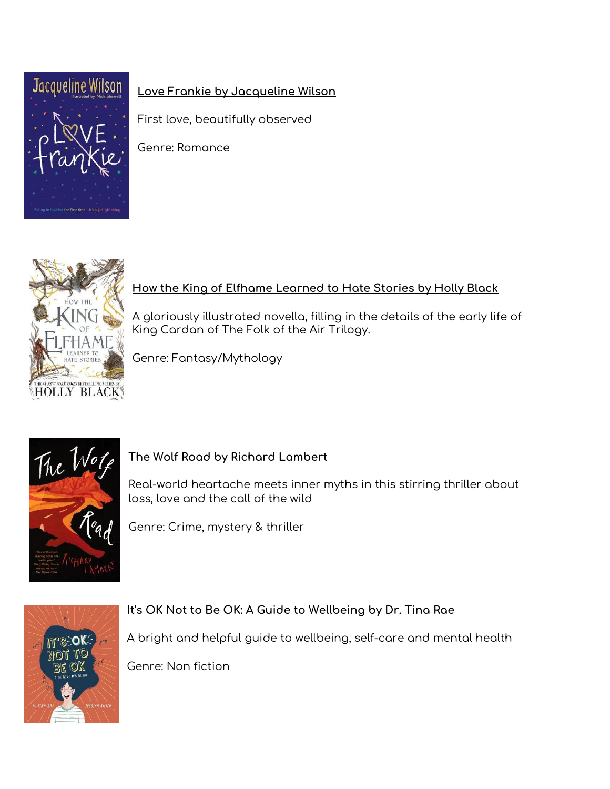

# **Love Frankie by Jacqueline Wilson**

First love, beautifully observed

Genre: Romance



# **How the King of Elfhame Learned to Hate Stories by Holly Black**

A gloriously illustrated novella, filling in the details of the early life of King Cardan of The Folk of the Air Trilogy.

Genre: Fantasy/Mythology



# **The Wolf Road by Richard Lambert**

Real-world heartache meets inner myths in this stirring thriller about loss, love and the call of the wild

Genre: Crime, mystery & thriller



### **It's OK Not to Be OK: A Guide to Wellbeing by Dr. Tina Rae**

A bright and helpful guide to wellbeing, self-care and mental health

Genre: Non fiction